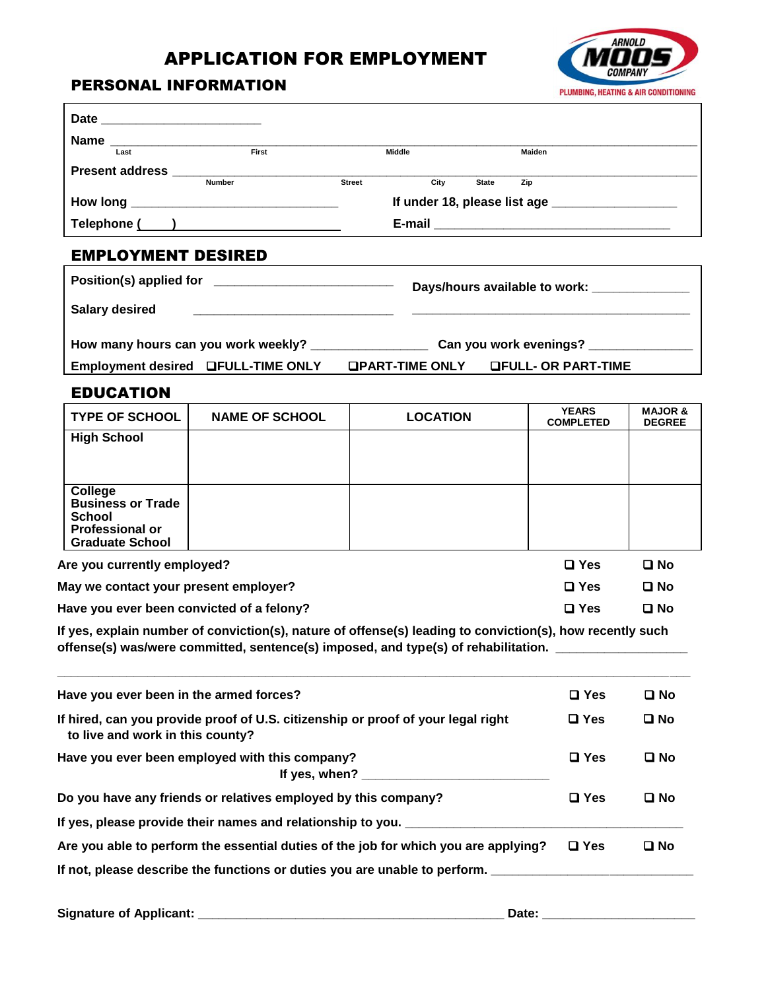## APPLICATION FOR EMPLOYMENT



## PERSONAL INFORMATION

|                                                                                                          |                                                    |                 |                                                  | PLUMBING, HEATING & AIR CONDITIONING |
|----------------------------------------------------------------------------------------------------------|----------------------------------------------------|-----------------|--------------------------------------------------|--------------------------------------|
| Date _____________________________                                                                       |                                                    |                 |                                                  |                                      |
|                                                                                                          | $Name \n\nLast\n\nFirst$                           | Middle          | Maiden                                           |                                      |
|                                                                                                          |                                                    |                 |                                                  |                                      |
|                                                                                                          |                                                    |                 | City State Zip                                   |                                      |
|                                                                                                          | How long ___________________________________       |                 | If under 18, please list age ___________________ |                                      |
|                                                                                                          | Telephone ( )                                      |                 |                                                  |                                      |
| <b>EMPLOYMENT DESIRED</b>                                                                                |                                                    |                 |                                                  |                                      |
|                                                                                                          |                                                    |                 | Days/hours available to work: _____________      |                                      |
| <b>Salary desired</b>                                                                                    |                                                    |                 |                                                  |                                      |
|                                                                                                          |                                                    |                 |                                                  |                                      |
|                                                                                                          | Employment desired LFULL-TIME ONLY LPART-TIME ONLY |                 | <b>OFULL- OR PART-TIME</b>                       |                                      |
| <b>EDUCATION</b>                                                                                         |                                                    |                 |                                                  |                                      |
| <b>TYPE OF SCHOOL</b>                                                                                    | <b>NAME OF SCHOOL</b>                              | <b>LOCATION</b> | <b>YEARS</b><br><b>COMPLETED</b>                 | <b>MAJOR &amp;</b><br><b>DEGREE</b>  |
| <b>High School</b>                                                                                       |                                                    |                 |                                                  |                                      |
|                                                                                                          |                                                    |                 |                                                  |                                      |
| College<br><b>Business or Trade</b><br><b>School</b><br><b>Professional or</b><br><b>Graduate School</b> |                                                    |                 |                                                  |                                      |

| Are you currently employed?               | $\Box$ Yes    | $\Box$ No    |
|-------------------------------------------|---------------|--------------|
| May we contact your present employer?     | □ Yes         | $\square$ No |
| Have you ever been convicted of a felony? | $\square$ Yes | □ No         |

**If yes, explain number of conviction(s), nature of offense(s) leading to conviction(s), how recently such offense(s) was/were committed, sentence(s) imposed, and type(s) of rehabilitation. \_\_\_\_\_\_\_\_\_\_\_\_\_\_\_\_\_\_\_**

| Have you ever been in the armed forces?                                                                              | $\Box$ Yes    | $\square$ No |
|----------------------------------------------------------------------------------------------------------------------|---------------|--------------|
| If hired, can you provide proof of U.S. citizenship or proof of your legal right<br>to live and work in this county? | $\square$ Yes | $\square$ No |
| Have you ever been employed with this company?<br>If yes, when?                                                      | $\Box$ Yes    | □ No         |
| Do you have any friends or relatives employed by this company?                                                       | $\Box$ Yes    | $\square$ No |
| If yes, please provide their names and relationship to you. ____                                                     |               |              |
| Are you able to perform the essential duties of the job for which you are applying?                                  | $\square$ Yes | $\square$ No |
| If not, please describe the functions or duties you are unable to perform.                                           |               |              |